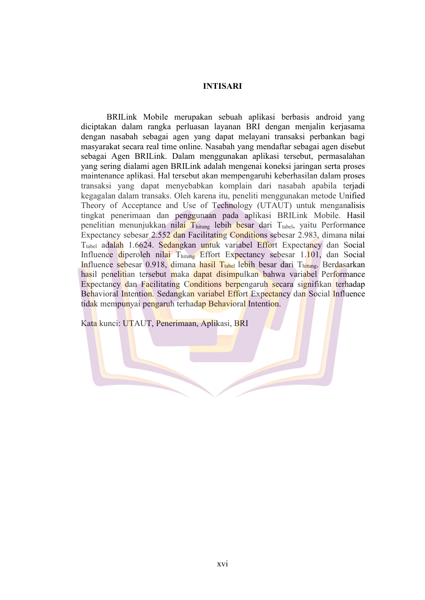## **INTISARI**

BRILink Mobile merupakan sebuah aplikasi berbasis android yang diciptakan dalam rangka perluasan layanan BRI dengan menjalin kerjasama dengan nasabah sebagai agen yang dapat melayani transaksi perbankan bagi masyarakat secara real time online. Nasabah yang mendaftar sebagai agen disebut sebagai Agen BRILink. Dalam menggunakan aplikasi tersebut, permasalahan yang sering dialami agen BRILink adalah mengenai koneksi jaringan serta proses maintenance aplikasi.Hal tersebut akan mempengaruhi keberhasilan dalam proses transaksi yang dapat menyebabkan komplain dari nasabah apabila terjadi kegagalan dalam transaks. Oleh karena itu, peneliti menggunakan metode Unified Theory of Acceptance and Use of Technology (UTAUT) untuk menganalisis tingkat penerimaan dan penggunaan pada aplikasi BRILink Mobile. Hasil penelitian menunjukkan nilai  $T_{\text{hitung}}$  lebih besar dari  $T_{\text{table}}$ , yaitu Performance Expectancy sebesar 2.552 dan Facilitating Conditions sebesar 2.983, dimana nilai T<sub>tabel</sub> adalah 1.6624. Sedangkan untuk variabel Effort Expectancy dan Social Influence diperoleh nilai Thitung Effort Expectancy sebesar 1.101, dan Social Influence sebesar 0.918, dimana hasil T<sub>tabel</sub> lebih besar dari Thitung. Berdasarkan hasil penelitian tersebut maka dapat disimpulkan bahwa variabel Performance Expectancy dan Facilitating Conditions berpengaruh secara signifikan terhadap Behavioral Intention. Sedangkan variabel Effort Expectancy dan Social Influence tidak mempunyai pengaruh terhadap Behavioral Intention.

Kata kunci: UTAUT, Penerimaan, Aplikasi, BRI